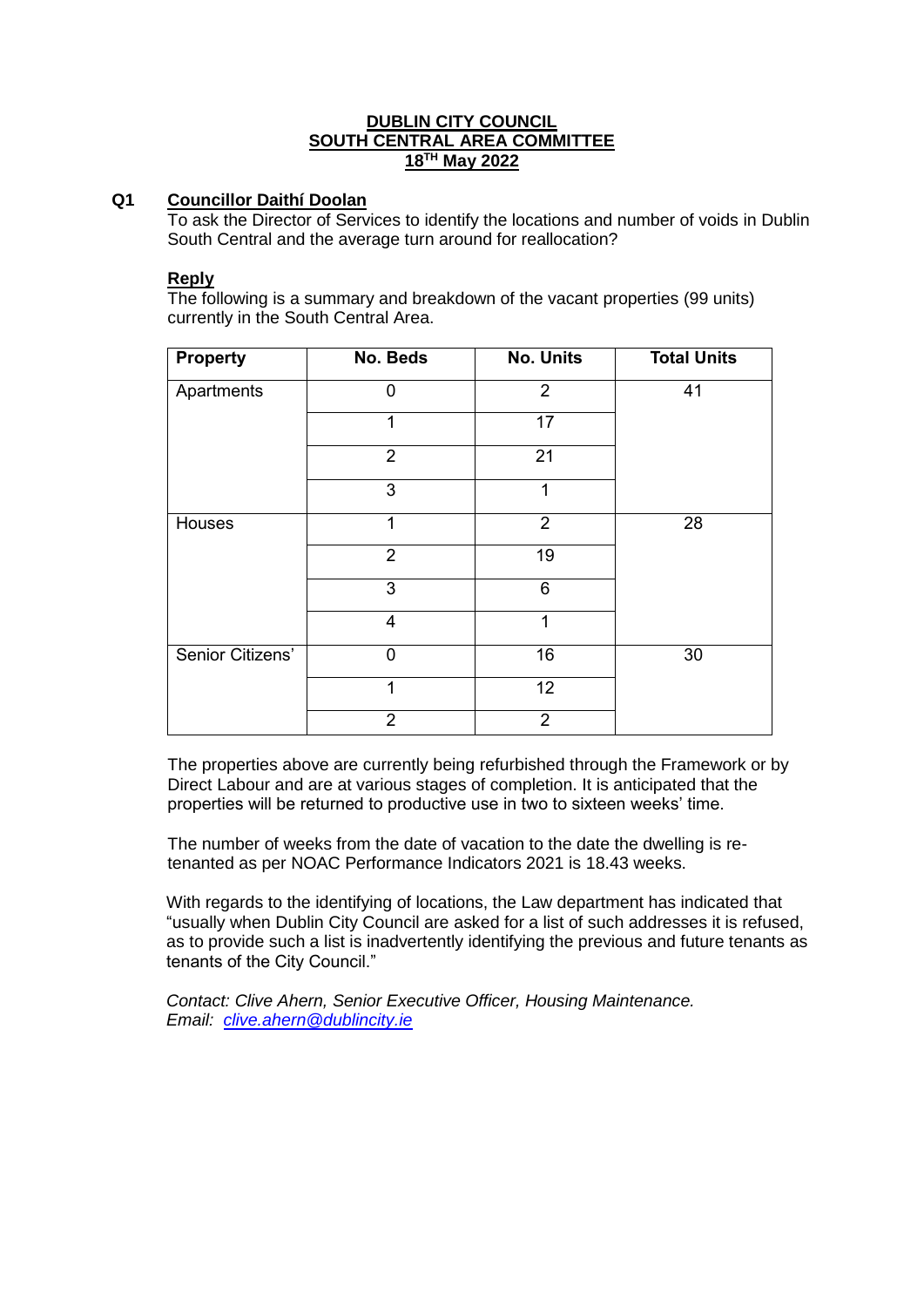## **DUBLIN CITY COUNCIL SOUTH CENTRAL AREA COMMITTEE 18TH May 2022**

## **Q1 Councillor Daithí Doolan**

To ask the Director of Services to identify the locations and number of voids in Dublin South Central and the average turn around for reallocation?

#### **Reply**

The following is a summary and breakdown of the vacant properties (99 units) currently in the South Central Area.

| <b>Property</b>  | No. Beds       | <b>No. Units</b> | <b>Total Units</b> |
|------------------|----------------|------------------|--------------------|
| Apartments       | 0              | $\overline{2}$   | 41                 |
|                  | 1              | 17               |                    |
|                  | $\overline{2}$ | 21               |                    |
|                  | 3              | 1                |                    |
| Houses           | 1              | $\overline{2}$   | 28                 |
|                  | $\overline{2}$ | $\overline{19}$  |                    |
|                  | 3              | 6                |                    |
|                  | 4              | 1                |                    |
| Senior Citizens' | $\overline{0}$ | 16               | 30                 |
|                  | 1              | 12               |                    |
|                  | $\overline{2}$ | $\overline{2}$   |                    |

The properties above are currently being refurbished through the Framework or by Direct Labour and are at various stages of completion. It is anticipated that the properties will be returned to productive use in two to sixteen weeks' time.

The number of weeks from the date of vacation to the date the dwelling is retenanted as per NOAC Performance Indicators 2021 is 18.43 weeks.

With regards to the identifying of locations, the Law department has indicated that "usually when Dublin City Council are asked for a list of such addresses it is refused, as to provide such a list is inadvertently identifying the previous and future tenants as tenants of the City Council."

*Contact: Clive Ahern, Senior Executive Officer, Housing Maintenance. Email: [clive.ahern@dublincity.ie](mailto:clive.ahern@dublincity.ie)*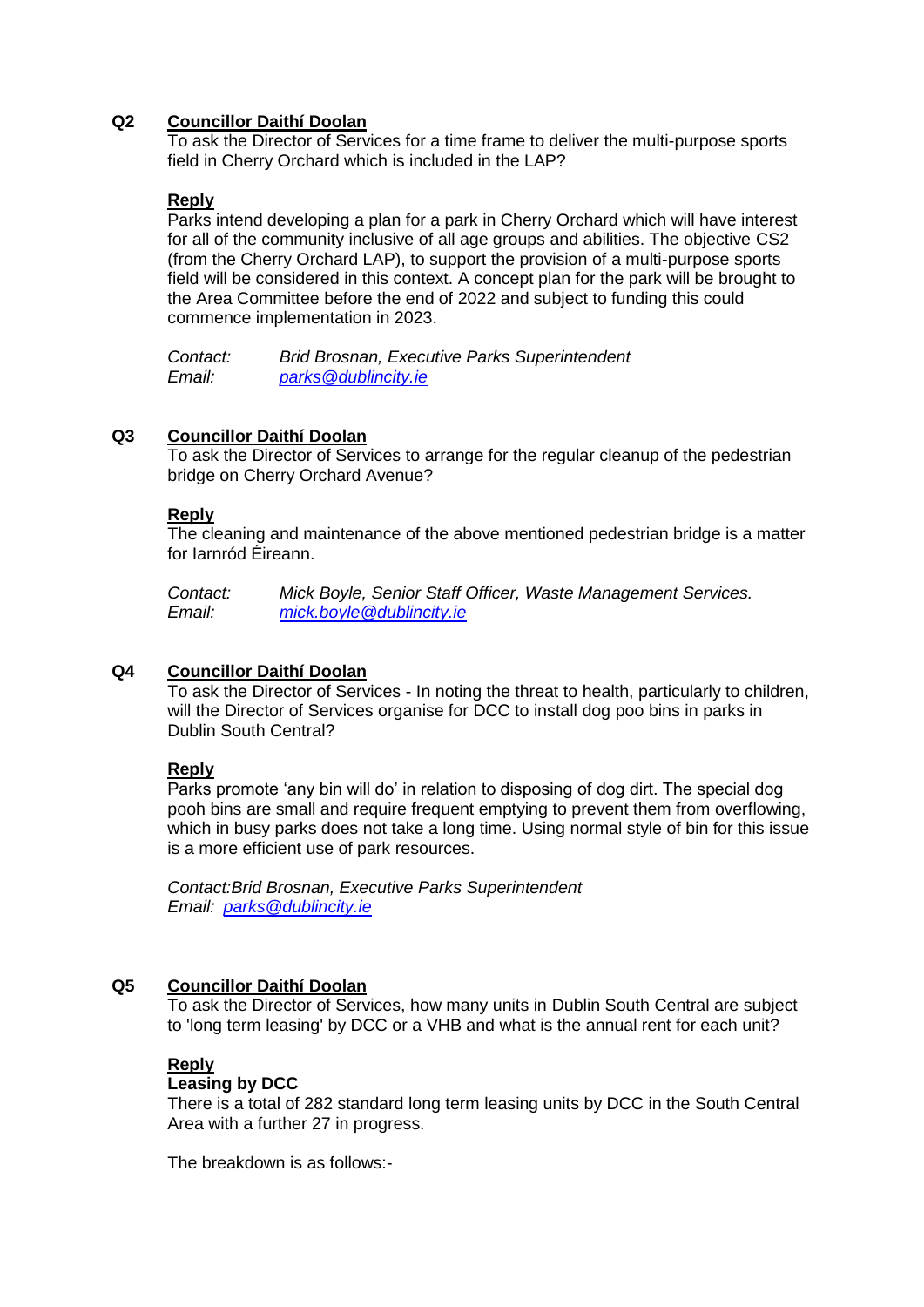## **Q2 Councillor Daithí Doolan**

To ask the Director of Services for a time frame to deliver the multi-purpose sports field in Cherry Orchard which is included in the LAP?

## **Reply**

Parks intend developing a plan for a park in Cherry Orchard which will have interest for all of the community inclusive of all age groups and abilities. The objective CS2 (from the Cherry Orchard LAP), to support the provision of a multi-purpose sports field will be considered in this context. A concept plan for the park will be brought to the Area Committee before the end of 2022 and subject to funding this could commence implementation in 2023.

*Contact: Brid Brosnan, Executive Parks Superintendent Email: [parks@dublincity.ie](mailto:parks@dublincity.ie)*

## **Q3 Councillor Daithí Doolan**

To ask the Director of Services to arrange for the regular cleanup of the pedestrian bridge on Cherry Orchard Avenue?

## **Reply**

The cleaning and maintenance of the above mentioned pedestrian bridge is a matter for Iarnród Éireann.

*Contact: Mick Boyle, Senior Staff Officer, Waste Management Services. Email: [mick.boyle@dublincity.ie](mailto:mick.boyle@dublincity.ie)*

## **Q4 Councillor Daithí Doolan**

To ask the Director of Services - In noting the threat to health, particularly to children, will the Director of Services organise for DCC to install dog poo bins in parks in Dublin South Central?

## **Reply**

Parks promote 'any bin will do' in relation to disposing of dog dirt. The special dog pooh bins are small and require frequent emptying to prevent them from overflowing, which in busy parks does not take a long time. Using normal style of bin for this issue is a more efficient use of park resources.

*Contact:Brid Brosnan, Executive Parks Superintendent Email: [parks@dublincity.ie](mailto:parks@dublincity.ie)*

## **Q5 Councillor Daithí Doolan**

To ask the Director of Services, how many units in Dublin South Central are subject to 'long term leasing' by DCC or a VHB and what is the annual rent for each unit?

# **Reply**

## **Leasing by DCC**

There is a total of 282 standard long term leasing units by DCC in the South Central Area with a further 27 in progress.

The breakdown is as follows:-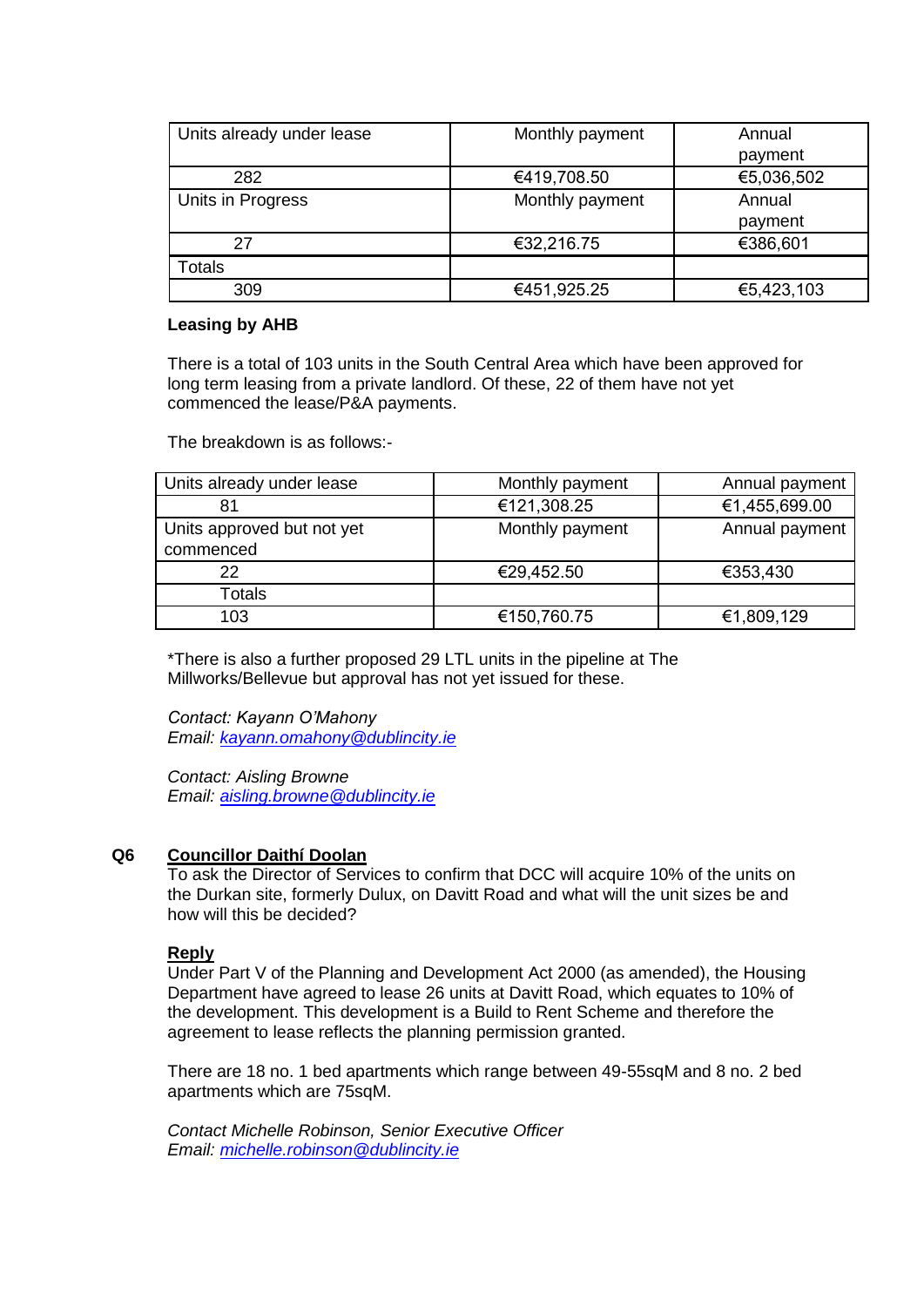| Units already under lease | Monthly payment | Annual     |
|---------------------------|-----------------|------------|
|                           |                 | payment    |
| 282                       | €419,708.50     | €5,036,502 |
| Units in Progress         | Monthly payment | Annual     |
|                           |                 | payment    |
| 27                        | €32,216.75      | €386,601   |
| Totals                    |                 |            |
| 309                       | €451,925.25     | €5,423,103 |

#### **Leasing by AHB**

There is a total of 103 units in the South Central Area which have been approved for long term leasing from a private landlord. Of these, 22 of them have not yet commenced the lease/P&A payments.

The breakdown is as follows:-

| Units already under lease               | Monthly payment | Annual payment |
|-----------------------------------------|-----------------|----------------|
| 81                                      | €121,308.25     | €1,455,699.00  |
| Units approved but not yet<br>commenced | Monthly payment | Annual payment |
| 22                                      | €29,452.50      | €353,430       |
| Totals                                  |                 |                |
| 103                                     | €150,760.75     | €1,809,129     |

\*There is also a further proposed 29 LTL units in the pipeline at The Millworks/Bellevue but approval has not yet issued for these.

*Contact: Kayann O'Mahony Email: [kayann.omahony@dublincity.ie](mailto:kayann.omahony@dublincity.ie)*

*Contact: Aisling Browne Email: [aisling.browne@dublincity.ie](mailto:aisling.browne@dublincity.ie)*

## **Q6 Councillor Daithí Doolan**

To ask the Director of Services to confirm that DCC will acquire 10% of the units on the Durkan site, formerly Dulux, on Davitt Road and what will the unit sizes be and how will this be decided?

## **Reply**

Under Part V of the Planning and Development Act 2000 (as amended), the Housing Department have agreed to lease 26 units at Davitt Road, which equates to 10% of the development. This development is a Build to Rent Scheme and therefore the agreement to lease reflects the planning permission granted.

There are 18 no. 1 bed apartments which range between 49-55sqM and 8 no. 2 bed apartments which are 75sqM.

*Contact Michelle Robinson, Senior Executive Officer Email: [michelle.robinson@dublincity.ie](mailto:michelle.robinson@dublincity.ie)*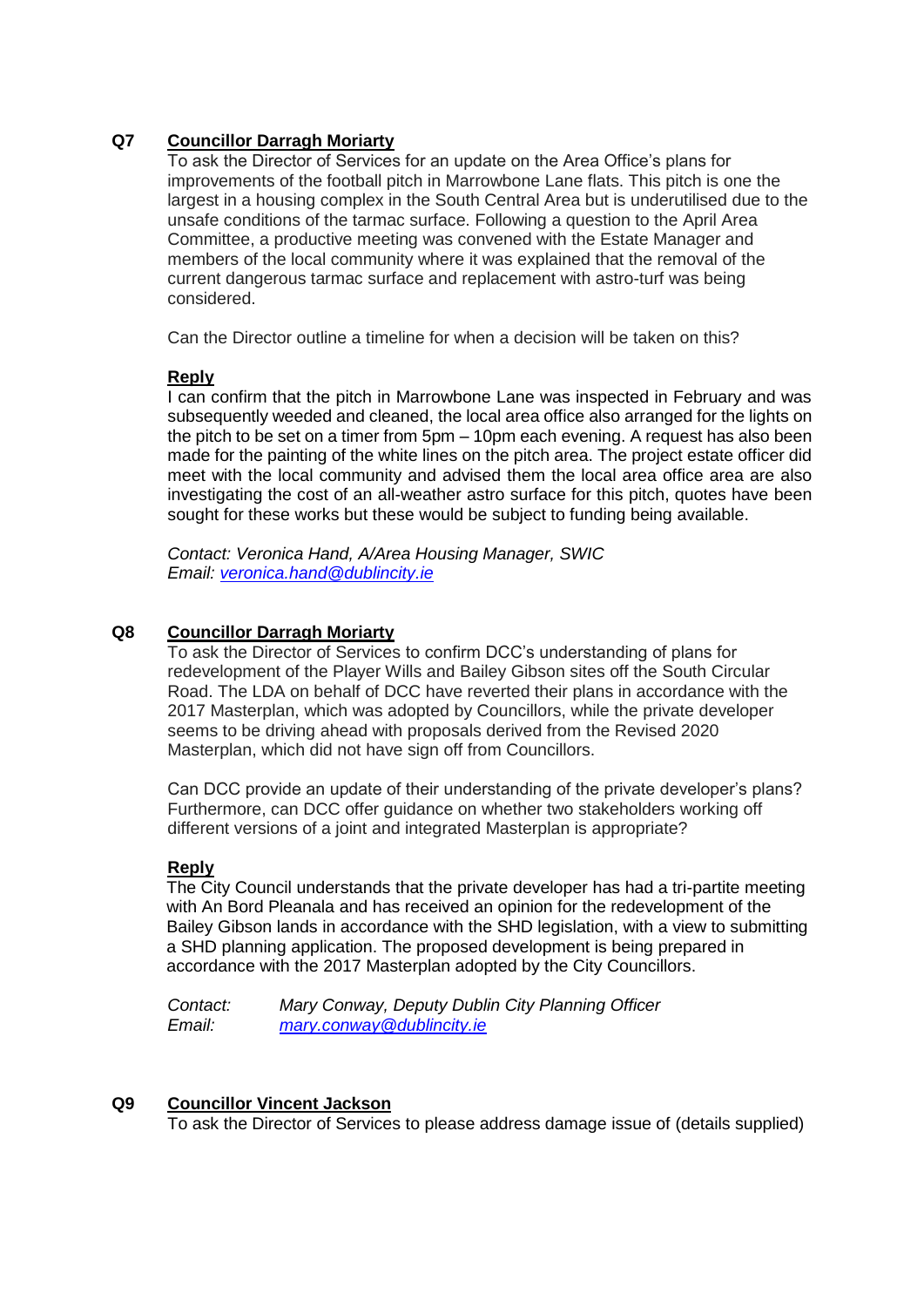## **Q7 Councillor Darragh Moriarty**

To ask the Director of Services for an update on the Area Office's plans for improvements of the football pitch in Marrowbone Lane flats. This pitch is one the largest in a housing complex in the South Central Area but is underutilised due to the unsafe conditions of the tarmac surface. Following a question to the April Area Committee, a productive meeting was convened with the Estate Manager and members of the local community where it was explained that the removal of the current dangerous tarmac surface and replacement with astro-turf was being considered.

Can the Director outline a timeline for when a decision will be taken on this?

#### **Reply**

I can confirm that the pitch in Marrowbone Lane was inspected in February and was subsequently weeded and cleaned, the local area office also arranged for the lights on the pitch to be set on a timer from 5pm – 10pm each evening. A request has also been made for the painting of the white lines on the pitch area. The project estate officer did meet with the local community and advised them the local area office area are also investigating the cost of an all-weather astro surface for this pitch, quotes have been sought for these works but these would be subject to funding being available.

*Contact: Veronica Hand, A/Area Housing Manager, SWIC Email: [veronica.hand@dublincity.ie](mailto:veronica.hand@dublincity.ie)*

## **Q8 Councillor Darragh Moriarty**

To ask the Director of Services to confirm DCC's understanding of plans for redevelopment of the Player Wills and Bailey Gibson sites off the South Circular Road. The LDA on behalf of DCC have reverted their plans in accordance with the 2017 Masterplan, which was adopted by Councillors, while the private developer seems to be driving ahead with proposals derived from the Revised 2020 Masterplan, which did not have sign off from Councillors.

Can DCC provide an update of their understanding of the private developer's plans? Furthermore, can DCC offer guidance on whether two stakeholders working off different versions of a joint and integrated Masterplan is appropriate?

## **Reply**

The City Council understands that the private developer has had a tri-partite meeting with An Bord Pleanala and has received an opinion for the redevelopment of the Bailey Gibson lands in accordance with the SHD legislation, with a view to submitting a SHD planning application. The proposed development is being prepared in accordance with the 2017 Masterplan adopted by the City Councillors.

*Contact: Mary Conway, Deputy Dublin City Planning Officer Email: [mary.conway@dublincity.ie](mailto:mary.conway@dublincity.ie)*

#### **Q9 Councillor Vincent Jackson**

To ask the Director of Services to please address damage issue of (details supplied)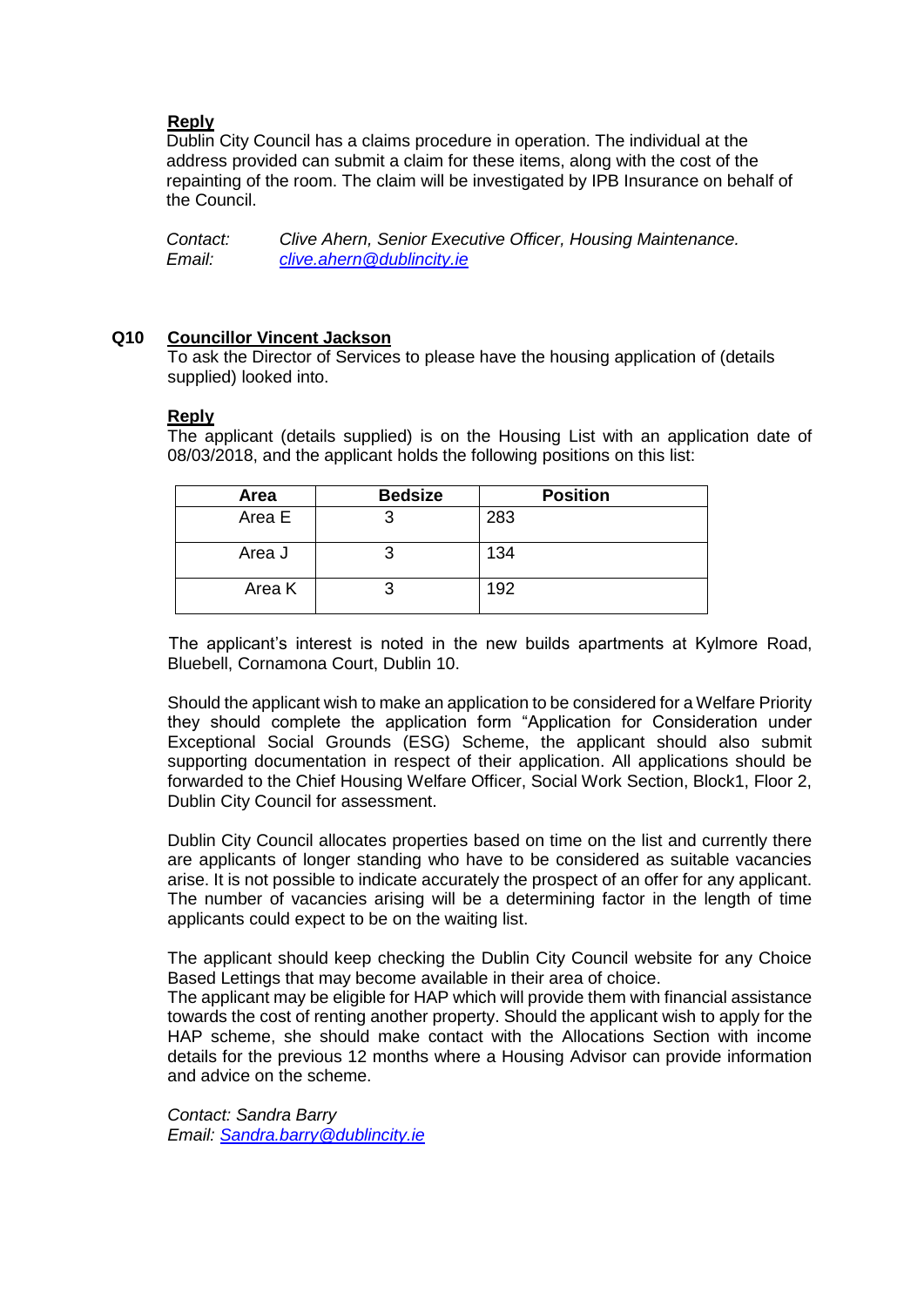## **Reply**

Dublin City Council has a claims procedure in operation. The individual at the address provided can submit a claim for these items, along with the cost of the repainting of the room. The claim will be investigated by IPB Insurance on behalf of the Council.

*Contact: Clive Ahern, Senior Executive Officer, Housing Maintenance. Email: [clive.ahern@dublincity.ie](mailto:clive.ahern@dublincity.ie)*

## **Q10 Councillor Vincent Jackson**

To ask the Director of Services to please have the housing application of (details supplied) looked into.

## **Reply**

The applicant (details supplied) is on the Housing List with an application date of 08/03/2018, and the applicant holds the following positions on this list:

| Area   | <b>Bedsize</b> | <b>Position</b> |
|--------|----------------|-----------------|
| Area E |                | 283             |
| Area J |                | 134             |
| Area K |                | 192             |

 The applicant's interest is noted in the new builds apartments at Kylmore Road, Bluebell, Cornamona Court, Dublin 10.

Should the applicant wish to make an application to be considered for a Welfare Priority they should complete the application form "Application for Consideration under Exceptional Social Grounds (ESG) Scheme, the applicant should also submit supporting documentation in respect of their application. All applications should be forwarded to the Chief Housing Welfare Officer, Social Work Section, Block1, Floor 2, Dublin City Council for assessment.

Dublin City Council allocates properties based on time on the list and currently there are applicants of longer standing who have to be considered as suitable vacancies arise. It is not possible to indicate accurately the prospect of an offer for any applicant. The number of vacancies arising will be a determining factor in the length of time applicants could expect to be on the waiting list.

The applicant should keep checking the Dublin City Council website for any Choice Based Lettings that may become available in their area of choice.

The applicant may be eligible for HAP which will provide them with financial assistance towards the cost of renting another property. Should the applicant wish to apply for the HAP scheme, she should make contact with the Allocations Section with income details for the previous 12 months where a Housing Advisor can provide information and advice on the scheme.

*Contact: Sandra Barry Email: [Sandra.barry@dublincity.ie](mailto:Sandra.barry@dublincity.ie)*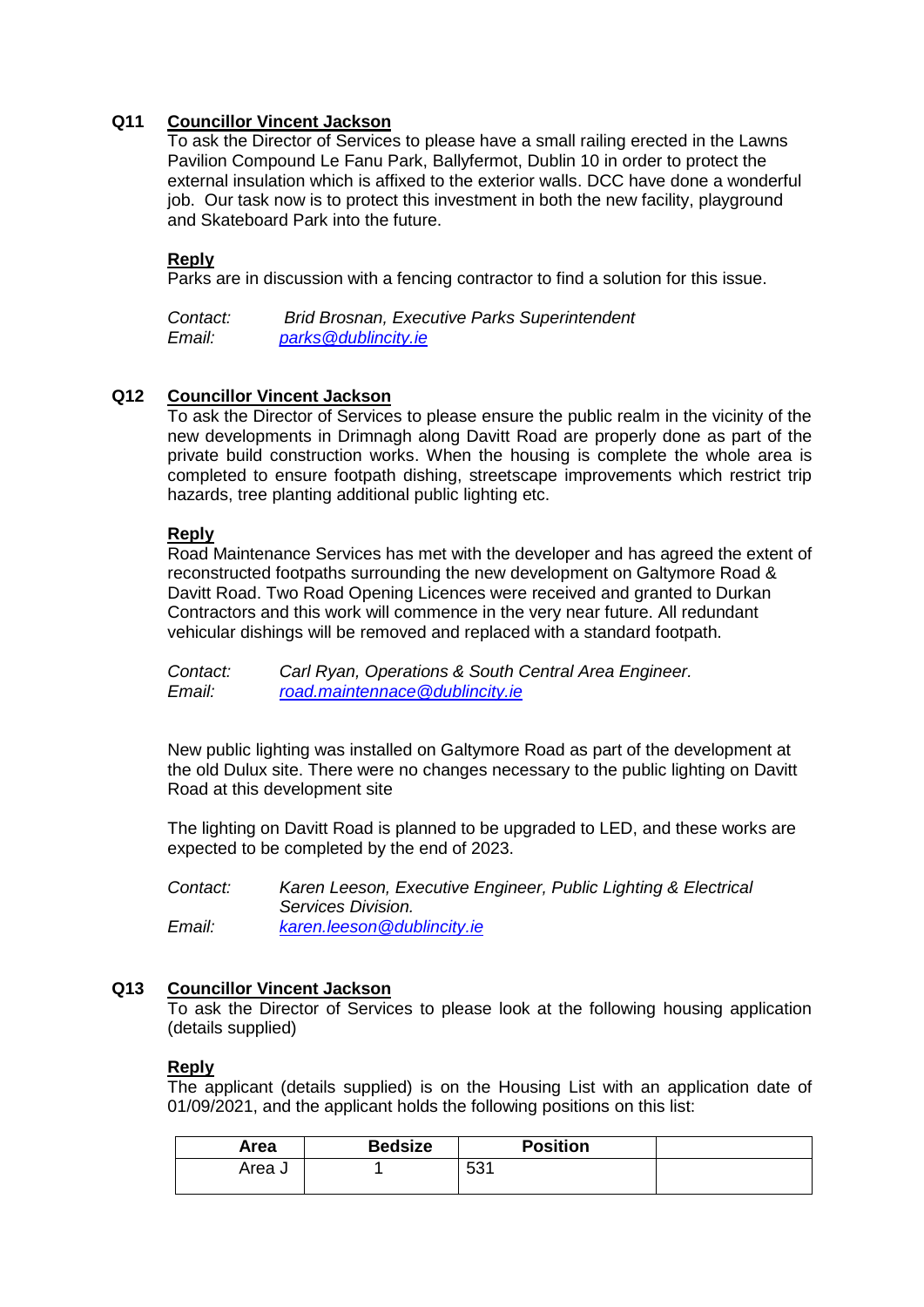## **Q11 Councillor Vincent Jackson**

To ask the Director of Services to please have a small railing erected in the Lawns Pavilion Compound Le Fanu Park, Ballyfermot, Dublin 10 in order to protect the external insulation which is affixed to the exterior walls. DCC have done a wonderful job. Our task now is to protect this investment in both the new facility, playground and Skateboard Park into the future.

## **Reply**

Parks are in discussion with a fencing contractor to find a solution for this issue.

*Contact: Brid Brosnan, Executive Parks Superintendent Email: [parks@dublincity.ie](mailto:parks@dublincity.ie)*

## **Q12 Councillor Vincent Jackson**

To ask the Director of Services to please ensure the public realm in the vicinity of the new developments in Drimnagh along Davitt Road are properly done as part of the private build construction works. When the housing is complete the whole area is completed to ensure footpath dishing, streetscape improvements which restrict trip hazards, tree planting additional public lighting etc.

#### **Reply**

Road Maintenance Services has met with the developer and has agreed the extent of reconstructed footpaths surrounding the new development on Galtymore Road & Davitt Road. Two Road Opening Licences were received and granted to Durkan Contractors and this work will commence in the very near future. All redundant vehicular dishings will be removed and replaced with a standard footpath.

*Contact: Carl Ryan, Operations & South Central Area Engineer. Email: [road.maintennace@dublincity.ie](mailto:road.maintennace@dublincity.ie)*

New public lighting was installed on Galtymore Road as part of the development at the old Dulux site. There were no changes necessary to the public lighting on Davitt Road at this development site

The lighting on Davitt Road is planned to be upgraded to LED, and these works are expected to be completed by the end of 2023.

*Contact: Karen Leeson, Executive Engineer, Public Lighting & Electrical Services Division. Email: [karen.leeson@dublincity.ie](mailto:karen.leeson@dublincity.ie)*

## **Q13 Councillor Vincent Jackson**

To ask the Director of Services to please look at the following housing application (details supplied)

## **Reply**

The applicant (details supplied) is on the Housing List with an application date of 01/09/2021, and the applicant holds the following positions on this list:

| Area   | <b>Bedsize</b> | <b>Position</b> |  |
|--------|----------------|-----------------|--|
| Area J |                | ro,<br>∽<br>ບບ⊺ |  |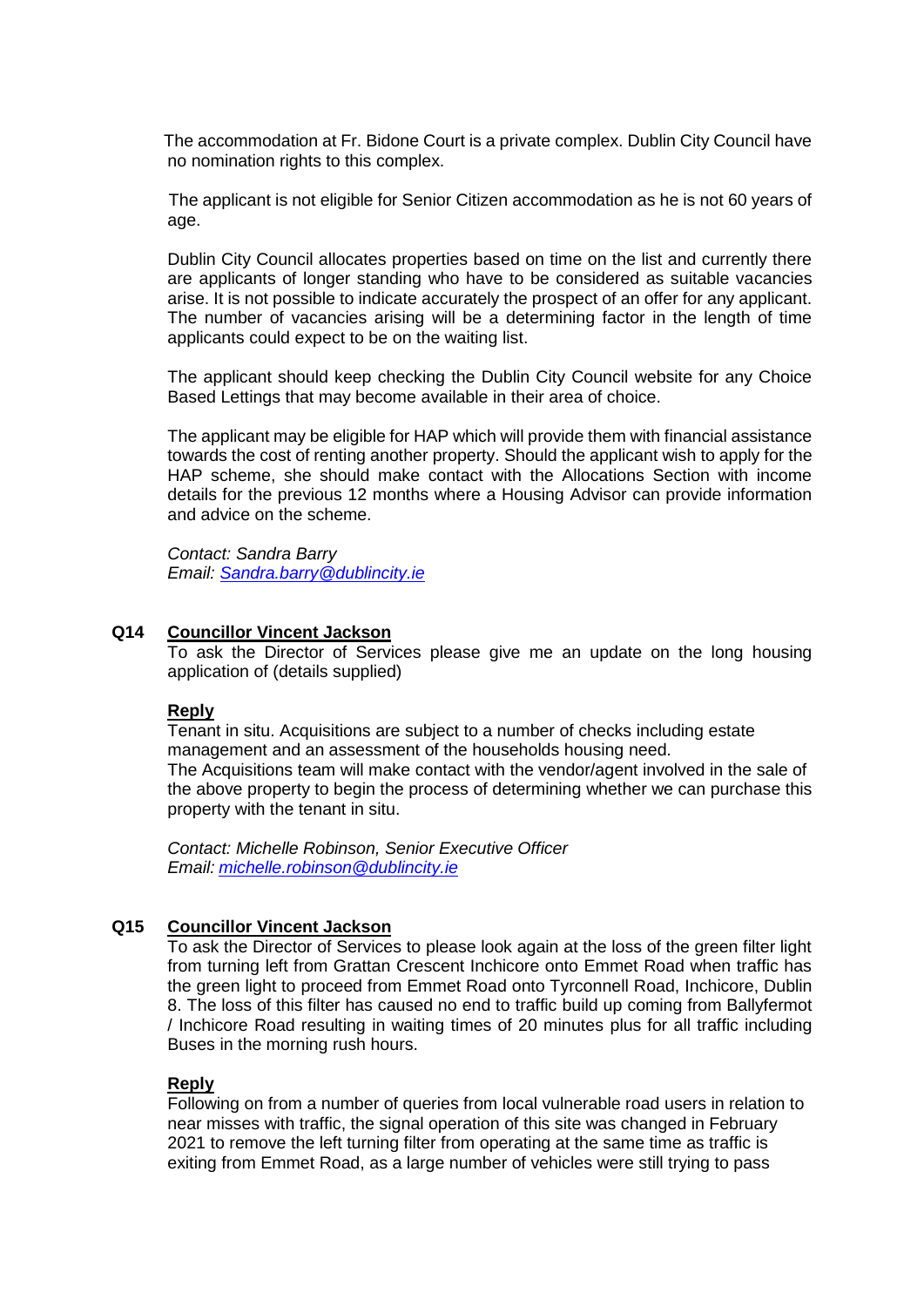The accommodation at Fr. Bidone Court is a private complex. Dublin City Council have no nomination rights to this complex.

 The applicant is not eligible for Senior Citizen accommodation as he is not 60 years of age.

Dublin City Council allocates properties based on time on the list and currently there are applicants of longer standing who have to be considered as suitable vacancies arise. It is not possible to indicate accurately the prospect of an offer for any applicant. The number of vacancies arising will be a determining factor in the length of time applicants could expect to be on the waiting list.

The applicant should keep checking the Dublin City Council website for any Choice Based Lettings that may become available in their area of choice.

The applicant may be eligible for HAP which will provide them with financial assistance towards the cost of renting another property. Should the applicant wish to apply for the HAP scheme, she should make contact with the Allocations Section with income details for the previous 12 months where a Housing Advisor can provide information and advice on the scheme.

*Contact: Sandra Barry Email: [Sandra.barry@dublincity.ie](mailto:Sandra.barry@dublincity.ie)*

#### **Q14 Councillor Vincent Jackson**

To ask the Director of Services please give me an update on the long housing application of (details supplied)

#### **Reply**

Tenant in situ. Acquisitions are subject to a number of checks including estate management and an assessment of the households housing need. The Acquisitions team will make contact with the vendor/agent involved in the sale of the above property to begin the process of determining whether we can purchase this property with the tenant in situ.

*Contact: Michelle Robinson, Senior Executive Officer Email: [michelle.robinson@dublincity.ie](mailto:michelle.robinson@dublincity.ie)*

#### **Q15 Councillor Vincent Jackson**

To ask the Director of Services to please look again at the loss of the green filter light from turning left from Grattan Crescent Inchicore onto Emmet Road when traffic has the green light to proceed from Emmet Road onto Tyrconnell Road, Inchicore, Dublin 8. The loss of this filter has caused no end to traffic build up coming from Ballyfermot / Inchicore Road resulting in waiting times of 20 minutes plus for all traffic including Buses in the morning rush hours.

#### **Reply**

Following on from a number of queries from local vulnerable road users in relation to near misses with traffic, the signal operation of this site was changed in February 2021 to remove the left turning filter from operating at the same time as traffic is exiting from Emmet Road, as a large number of vehicles were still trying to pass